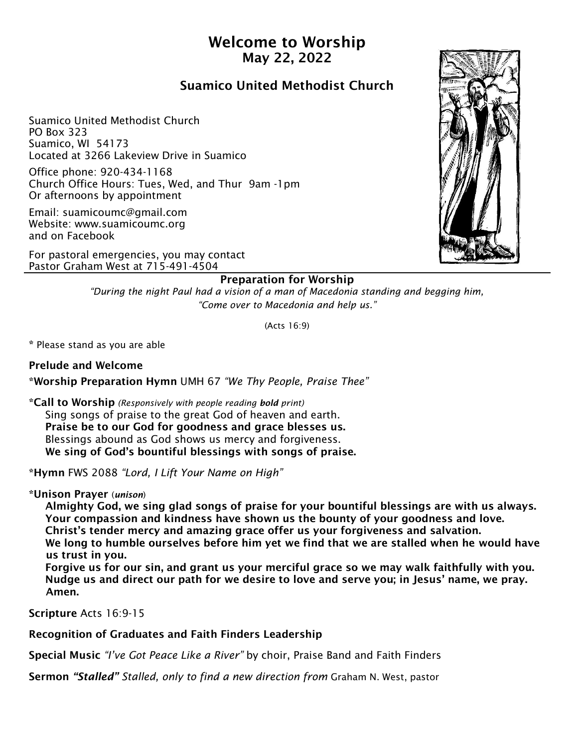# Welcome to Worship May 22, 2022

# Suamico United Methodist Church

Suamico United Methodist Church PO Box 323 Suamico, WI 54173 Located at 3266 Lakeview Drive in Suamico

Office phone: 920-434-1168 Church Office Hours: Tues, Wed, and Thur 9am -1pm Or afternoons by appointment

Email: suamicoumc@gmail.com Website: www.suamicoumc.org and on Facebook

For pastoral emergencies, you may contact Pastor Graham West at 715-491-4504

## Preparation for Worship

*"During the night Paul had a vision of a man of Macedonia standing and begging him, "Come over to Macedonia and help us."*

(Acts 16:9)

\* Please stand as you are able

Prelude and Welcome \*Worship Preparation Hymn UMH 67 *"We Thy People, Praise Thee"*

\*Call to Worship *(Responsively with people reading bold print)* Sing songs of praise to the great God of heaven and earth. Praise be to our God for goodness and grace blesses us. Blessings abound as God shows us mercy and forgiveness. We sing of God's bountiful blessings with songs of praise.

\*Hymn FWS 2088 *"Lord, I Lift Your Name on High"*

\*Unison Prayer (*unison*)

 Almighty God, we sing glad songs of praise for your bountiful blessings are with us always. Your compassion and kindness have shown us the bounty of your goodness and love. Christ's tender mercy and amazing grace offer us your forgiveness and salvation.

 We long to humble ourselves before him yet we find that we are stalled when he would have us trust in you.

 Forgive us for our sin, and grant us your merciful grace so we may walk faithfully with you. Nudge us and direct our path for we desire to love and serve you; in Jesus' name, we pray. Amen.

Scripture Acts 16:9-15

Recognition of Graduates and Faith Finders Leadership

Special Music *"I've Got Peace Like a River"* by choir, Praise Band and Faith Finders

Sermon *"Stalled" Stalled, only to find a new direction from* Graham N. West, pastor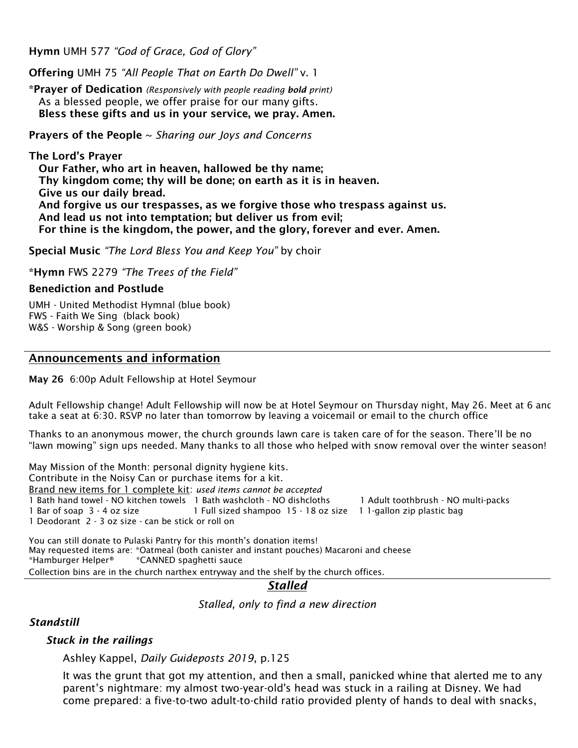Hymn UMH 577 *"God of Grace, God of Glory"* 

Offering UMH 75 *"All People That on Earth Do Dwell"* v. 1

\*Prayer of Dedication *(Responsively with people reading bold print)* As a blessed people, we offer praise for our many gifts. Bless these gifts and us in your service, we pray. Amen.

Prayers of the People ~ *Sharing our Joys and Concerns*

The Lord's Prayer Our Father, who art in heaven, hallowed be thy name; Thy kingdom come; thy will be done; on earth as it is in heaven. Give us our daily bread. And forgive us our trespasses, as we forgive those who trespass against us. And lead us not into temptation; but deliver us from evil; For thine is the kingdom, the power, and the glory, forever and ever. Amen.

Special Music *"The Lord Bless You and Keep You"* by choir

\*Hymn FWS 2279 *"The Trees of the Field"* 

#### Benediction and Postlude

UMH - United Methodist Hymnal (blue book) FWS - Faith We Sing (black book) W&S - Worship & Song (green book)

### Announcements and information

May 26 6:00p Adult Fellowship at Hotel Seymour

Adult Fellowship change! Adult Fellowship will now be at Hotel Seymour on Thursday night, May 26. Meet at 6 anc take a seat at 6:30. RSVP no later than tomorrow by leaving a voicemail or email to the church office

Thanks to an anonymous mower, the church grounds lawn care is taken care of for the season. There'll be no "lawn mowing" sign ups needed. Many thanks to all those who helped with snow removal over the winter season!

May Mission of the Month: personal dignity hygiene kits. Contribute in the Noisy Can or purchase items for a kit. Brand new items for 1 complete kit: *used items cannot be accepted* 1 Bath hand towel - NO kitchen towels 1 Bath washcloth - NO dishcloths 1 Adult toothbrush - NO multi-packs 1 Bar of soap 3 - 4 oz size 1 Full sized shampoo 15 - 18 oz size 1 1-gallon zip plastic bag 1 Deodorant 2 - 3 oz size - can be stick or roll on

You can still donate to Pulaski Pantry for this month's donation items! May requested items are: \*Oatmeal (both canister and instant pouches) Macaroni and cheese \*Hamburger Helper® \*CANNED spaghetti sauce Collection bins are in the church narthex entryway and the shelf by the church offices.

# *Stalled*

*Stalled, only to find a new direction*

*Standstill*

### *Stuck in the railings*

Ashley Kappel, *Daily Guideposts 2019*, p.125

It was the grunt that got my attention, and then a small, panicked whine that alerted me to any parent's nightmare: my almost two-year-old's head was stuck in a railing at Disney. We had come prepared: a five-to-two adult-to-child ratio provided plenty of hands to deal with snacks,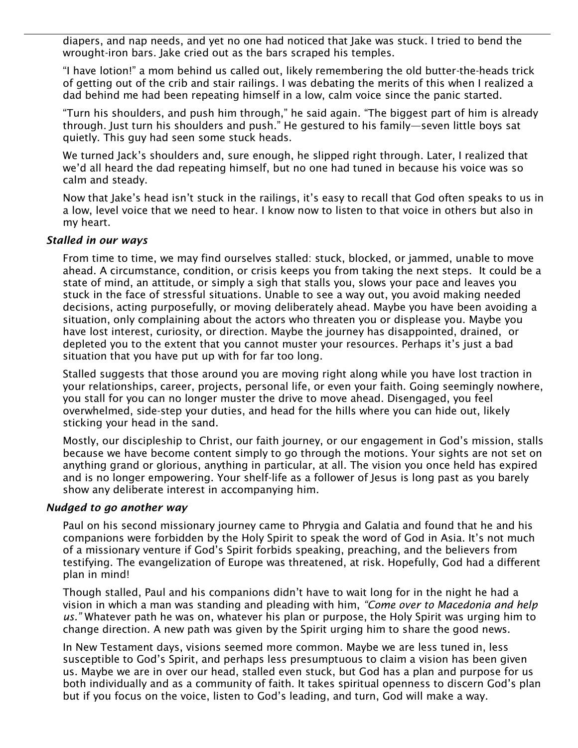diapers, and nap needs, and yet no one had noticed that Jake was stuck. I tried to bend the wrought-iron bars. Jake cried out as the bars scraped his temples.

"I have lotion!" a mom behind us called out, likely remembering the old butter-the-heads trick of getting out of the crib and stair railings. I was debating the merits of this when I realized a dad behind me had been repeating himself in a low, calm voice since the panic started.

"Turn his shoulders, and push him through," he said again. "The biggest part of him is already through. Just turn his shoulders and push." He gestured to his family—seven little boys sat quietly. This guy had seen some stuck heads.

We turned Jack's shoulders and, sure enough, he slipped right through. Later, I realized that we'd all heard the dad repeating himself, but no one had tuned in because his voice was so calm and steady.

Now that Jake's head isn't stuck in the railings, it's easy to recall that God often speaks to us in a low, level voice that we need to hear. I know now to listen to that voice in others but also in my heart.

#### *Stalled in our ways*

From time to time, we may find ourselves stalled: stuck, blocked, or jammed, unable to move ahead. A circumstance, condition, or crisis keeps you from taking the next steps. It could be a state of mind, an attitude, or simply a sigh that stalls you, slows your pace and leaves you stuck in the face of stressful situations. Unable to see a way out, you avoid making needed decisions, acting purposefully, or moving deliberately ahead. Maybe you have been avoiding a situation, only complaining about the actors who threaten you or displease you. Maybe you have lost interest, curiosity, or direction. Maybe the journey has disappointed, drained, or depleted you to the extent that you cannot muster your resources. Perhaps it's just a bad situation that you have put up with for far too long.

Stalled suggests that those around you are moving right along while you have lost traction in your relationships, career, projects, personal life, or even your faith. Going seemingly nowhere, you stall for you can no longer muster the drive to move ahead. Disengaged, you feel overwhelmed, side-step your duties, and head for the hills where you can hide out, likely sticking your head in the sand.

Mostly, our discipleship to Christ, our faith journey, or our engagement in God's mission, stalls because we have become content simply to go through the motions. Your sights are not set on anything grand or glorious, anything in particular, at all. The vision you once held has expired and is no longer empowering. Your shelf-life as a follower of Jesus is long past as you barely show any deliberate interest in accompanying him.

#### *Nudged to go another way*

Paul on his second missionary journey came to Phrygia and Galatia and found that he and his companions were forbidden by the Holy Spirit to speak the word of God in Asia. It's not much of a missionary venture if God's Spirit forbids speaking, preaching, and the believers from testifying. The evangelization of Europe was threatened, at risk. Hopefully, God had a different plan in mind!

Though stalled, Paul and his companions didn't have to wait long for in the night he had a vision in which a man was standing and pleading with him, *"Come over to Macedonia and help us."* Whatever path he was on, whatever his plan or purpose, the Holy Spirit was urging him to change direction. A new path was given by the Spirit urging him to share the good news.

In New Testament days, visions seemed more common. Maybe we are less tuned in, less susceptible to God's Spirit, and perhaps less presumptuous to claim a vision has been given us. Maybe we are in over our head, stalled even stuck, but God has a plan and purpose for us both individually and as a community of faith. It takes spiritual openness to discern God's plan but if you focus on the voice, listen to God's leading, and turn, God will make a way.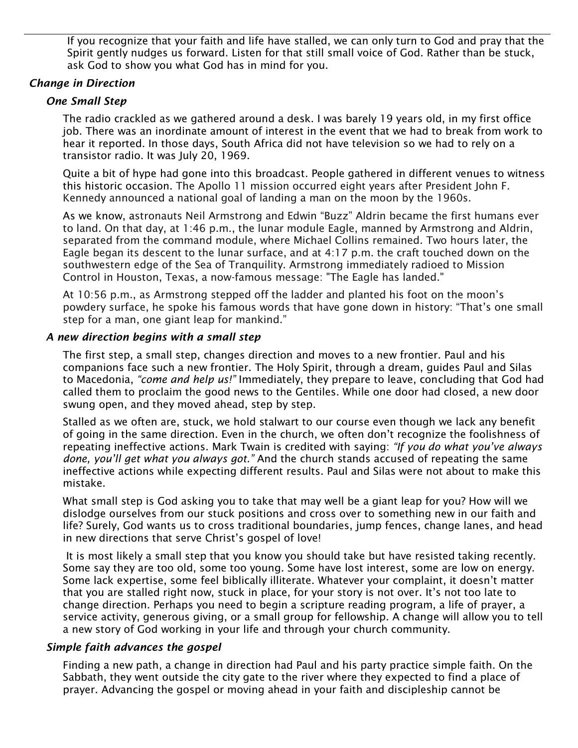If you recognize that your faith and life have stalled, we can only turn to God and pray that the Spirit gently nudges us forward. Listen for that still small voice of God. Rather than be stuck, ask God to show you what God has in mind for you.

# *Change in Direction*

# *One Small Step*

The radio crackled as we gathered around a desk. I was barely 19 years old, in my first office job. There was an inordinate amount of interest in the event that we had to break from work to hear it reported. In those days, South Africa did not have television so we had to rely on a transistor radio. It was July 20, 1969.

Quite a bit of hype had gone into this broadcast. People gathered in different venues to witness this historic occasion. The Apollo 11 mission occurred eight years after President John F. Kennedy announced a national goal of landing a man on the moon by the 1960s.

As we know, astronauts Neil Armstrong and Edwin "Buzz" Aldrin became the first humans ever to land. On that day, at 1:46 p.m., the lunar module Eagle, manned by Armstrong and Aldrin, separated from the command module, where Michael Collins remained. Two hours later, the Eagle began its descent to the lunar surface, and at 4:17 p.m. the craft touched down on the southwestern edge of the Sea of Tranquility. Armstrong immediately radioed to Mission Control in Houston, Texas, a now-famous message: "The Eagle has landed."

At 10:56 p.m., as Armstrong stepped off the ladder and planted his foot on the moon's powdery surface, he spoke his famous words that have gone down in history: "That's one small step for a man, one giant leap for mankind."

### *A new direction begins with a small step*

The first step, a small step, changes direction and moves to a new frontier. Paul and his companions face such a new frontier. The Holy Spirit, through a dream, guides Paul and Silas to Macedonia, *"come and help us!"* Immediately, they prepare to leave, concluding that God had called them to proclaim the good news to the Gentiles. While one door had closed, a new door swung open, and they moved ahead, step by step.

Stalled as we often are, stuck, we hold stalwart to our course even though we lack any benefit of going in the same direction. Even in the church, we often don't recognize the foolishness of repeating ineffective actions. Mark Twain is credited with saying: *"If you do what you've always done, you'll get what you always got."* And the church stands accused of repeating the same ineffective actions while expecting different results. Paul and Silas were not about to make this mistake.

What small step is God asking you to take that may well be a giant leap for you? How will we dislodge ourselves from our stuck positions and cross over to something new in our faith and life? Surely, God wants us to cross traditional boundaries, jump fences, change lanes, and head in new directions that serve Christ's gospel of love!

It is most likely a small step that you know you should take but have resisted taking recently. Some say they are too old, some too young. Some have lost interest, some are low on energy. Some lack expertise, some feel biblically illiterate. Whatever your complaint, it doesn't matter that you are stalled right now, stuck in place, for your story is not over. It's not too late to change direction. Perhaps you need to begin a scripture reading program, a life of prayer, a service activity, generous giving, or a small group for fellowship. A change will allow you to tell a new story of God working in your life and through your church community.

### *Simple faith advances the gospel*

Finding a new path, a change in direction had Paul and his party practice simple faith. On the Sabbath, they went outside the city gate to the river where they expected to find a place of prayer. Advancing the gospel or moving ahead in your faith and discipleship cannot be